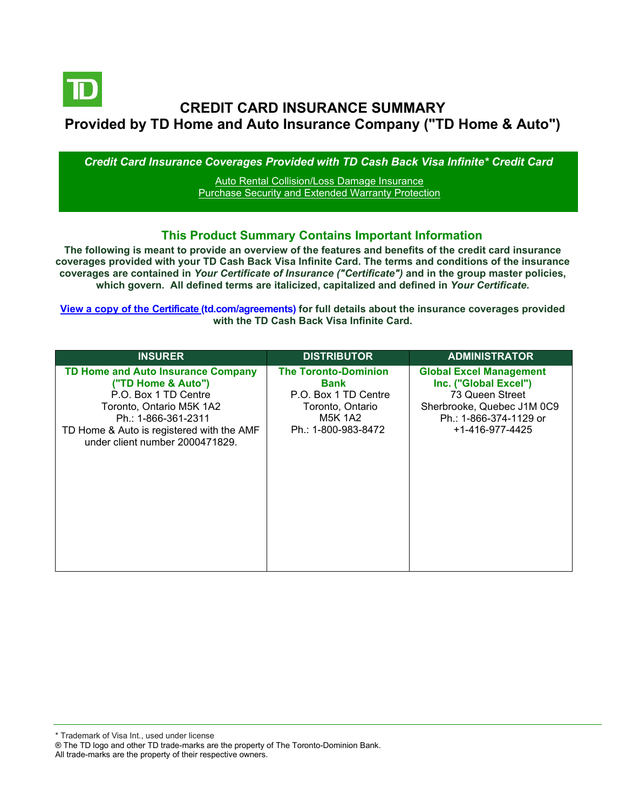

# **CREDIT CARD INSURANCE SUMMARY Provided by TD Home and Auto Insurance Company ("TD Home & Auto")**

*Credit Card Insurance Coverages Provided with TD Cash Back Visa Infinite\* Credit Card*

[Auto Rental Collision/Loss Damage Insurance](#page-3-0) [Purchase Security and Extended Warranty Protection](#page-4-0)

#### **This Product Summary Contains Important Information**

**The following is meant to provide an overview of the features and benefits of the credit card insurance coverages provided with your TD Cash Back Visa Infinite Card. The terms and conditions of the insurance coverages are contained in** *Your Certificate of Insurance ("Certificate")* **and in the group master policies, which govern. All defined terms are italicized, capitalized and defined in** *Your Certificate***.**

**[View a copy of the Certificate](https://www.td.com/ca/en/personal-banking/how-to/manage-my-credit-card/getting-started/?tdtab=4) (td.com/agreements) for full details about the insurance coverages provided with the TD Cash Back Visa Infinite Card.**

| <b>INSURER</b>                                                                                                                                                                                                             | <b>DISTRIBUTOR</b>                                                                                                | <b>ADMINISTRATOR</b>                                                                                                                                  |
|----------------------------------------------------------------------------------------------------------------------------------------------------------------------------------------------------------------------------|-------------------------------------------------------------------------------------------------------------------|-------------------------------------------------------------------------------------------------------------------------------------------------------|
| <b>TD Home and Auto Insurance Company</b><br>("TD Home & Auto")<br>P.O. Box 1 TD Centre<br>Toronto, Ontario M5K 1A2<br>Ph.: 1-866-361-2311<br>TD Home & Auto is registered with the AMF<br>under client number 2000471829. | <b>The Toronto-Dominion</b><br>Bank<br>P.O. Box 1 TD Centre<br>Toronto, Ontario<br>M5K 1A2<br>Ph.: 1-800-983-8472 | <b>Global Excel Management</b><br>Inc. ("Global Excel")<br>73 Queen Street<br>Sherbrooke, Quebec J1M 0C9<br>Ph.: 1-866-374-1129 or<br>+1-416-977-4425 |

\* Trademark of Visa Int., used under license

All trade-marks are the property of their respective owners.

<sup>®</sup> The TD logo and other TD trade-marks are the property of The Toronto-Dominion Bank.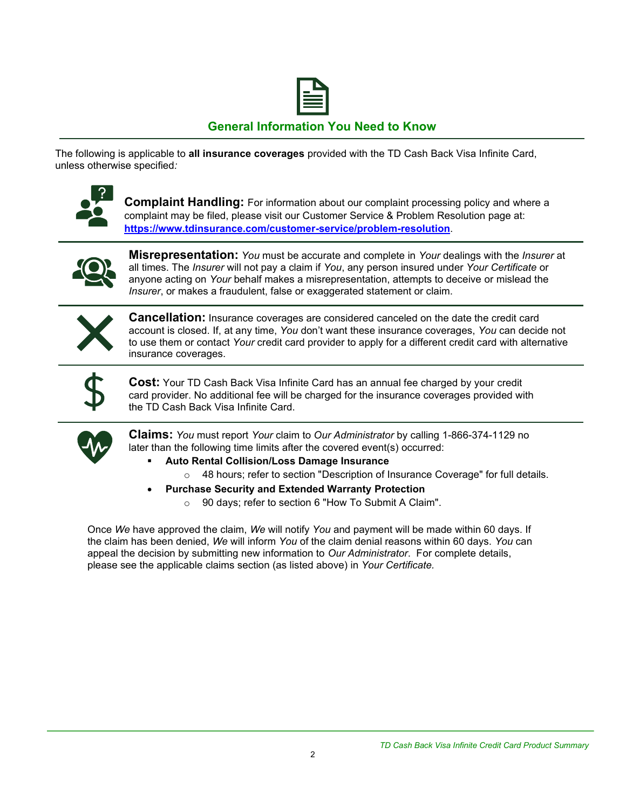

## **General Information You Need to Know**

The following is applicable to **all insurance coverages** provided with the TD Cash Back Visa Infinite Card, unless otherwise specified*:*



**Complaint Handling:** For information about our complaint processing policy and where a complaint may be filed, please visit our Customer Service & Problem Resolution page at: **<https://www.tdinsurance.com/customer-service/problem-resolution>**.



**Misrepresentation:** *You* must be accurate and complete in *Your* dealings with the *Insurer* at all times. The *Insurer* will not pay a claim if *You*, any person insured under *Your Certificate* or anyone acting on *Your* behalf makes a misrepresentation, attempts to deceive or mislead the *Insurer*, or makes a fraudulent, false or exaggerated statement or claim.



**Cancellation:** Insurance coverages are considered canceled on the date the credit card account is closed. If, at any time, *You* don't want these insurance coverages, *You* can decide not to use them or contact *Your* credit card provider to apply for a different credit card with alternative insurance coverages.



**Cost:** Your TD Cash Back Visa Infinite Card has an annual fee charged by your credit card provider. No additional fee will be charged for the insurance coverages provided with the TD Cash Back Visa Infinite Card.



**Claims:** *You* must report *Your* claim to *Our Administrator* by calling 1-866-374-1129 no later than the following time limits after the covered event(s) occurred:

- **Auto Rental Collision/Loss Damage Insurance** 
	- $\circ$  48 hours; refer to section "Description of Insurance Coverage" for full details.
- **Purchase Security and Extended Warranty Protection**
	- o 90 days; refer to section 6 "How To Submit A Claim".

Once *We* have approved the claim, *We* will notify *You* and payment will be made within 60 days. If the claim has been denied, *We* will inform *You* of the claim denial reasons within 60 days. *You* can appeal the decision by submitting new information to *Our Administrator*. For complete details, please see the applicable claims section (as listed above) in *Your Certificate.*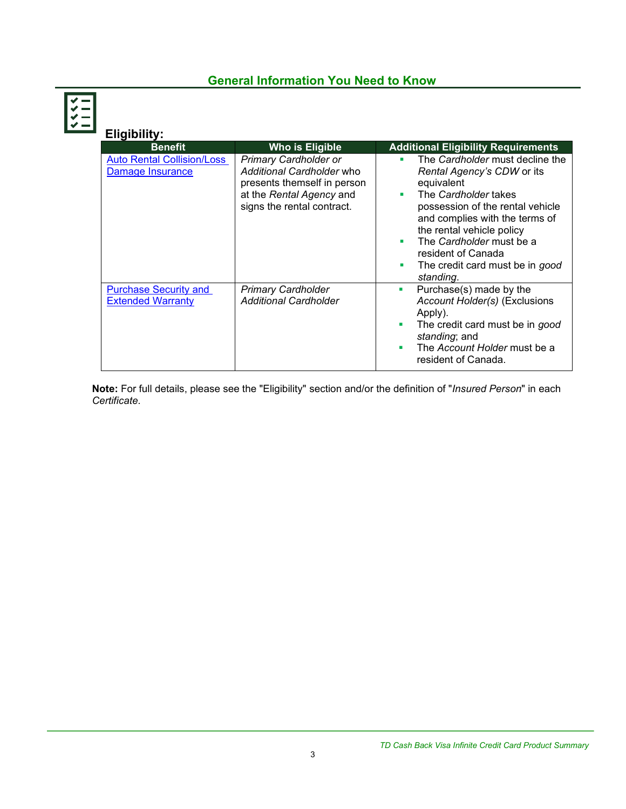## **General Information You Need to Know**



| Eligibility:                                             |                                                                                                                                                    |                                                                                                                                                                                                                                                                                                                    |
|----------------------------------------------------------|----------------------------------------------------------------------------------------------------------------------------------------------------|--------------------------------------------------------------------------------------------------------------------------------------------------------------------------------------------------------------------------------------------------------------------------------------------------------------------|
| <b>Benefit</b>                                           | Who is Eligible                                                                                                                                    | <b>Additional Eligibility Requirements</b>                                                                                                                                                                                                                                                                         |
| <b>Auto Rental Collision/Loss</b><br>Damage Insurance    | <b>Primary Cardholder or</b><br>Additional Cardholder who<br>presents themself in person<br>at the Rental Agency and<br>signs the rental contract. | The Cardholder must decline the<br>Rental Agency's CDW or its<br>equivalent<br>The Cardholder takes<br>٠<br>possession of the rental vehicle<br>and complies with the terms of<br>the rental vehicle policy<br>The Cardholder must be a<br>resident of Canada<br>The credit card must be in good<br>п<br>standing. |
| <b>Purchase Security and</b><br><b>Extended Warranty</b> | <b>Primary Cardholder</b><br><b>Additional Cardholder</b>                                                                                          | Purchase(s) made by the<br>$\mathcal{L}_{\mathcal{A}}$<br>Account Holder(s) (Exclusions<br>Apply).<br>The credit card must be in good<br>standing; and<br>The Account Holder must be a<br>٠<br>resident of Canada.                                                                                                 |

**Note:** For full details, please see the "Eligibility" section and/or the definition of "*Insured Person*" in each *Certificate*.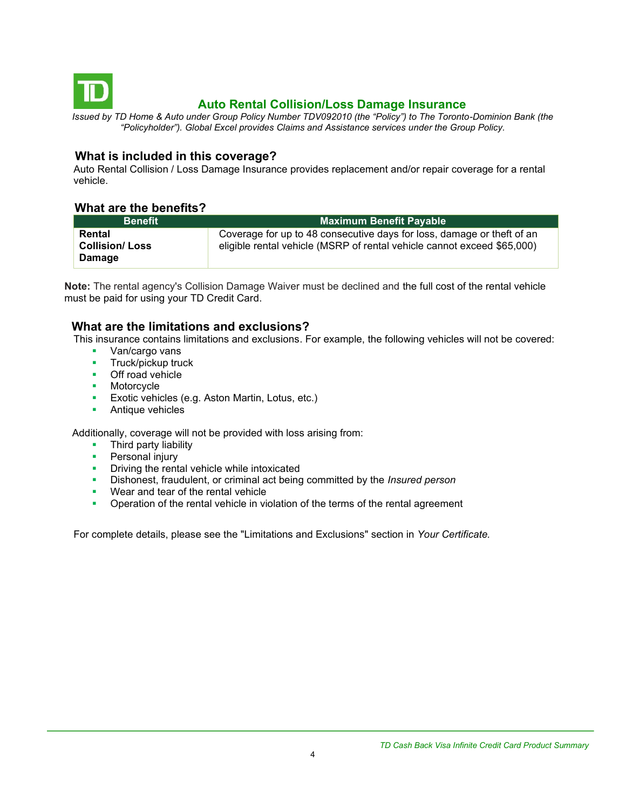<span id="page-3-0"></span>

## **Auto Rental Collision/Loss Damage Insurance**

*Issued by TD Home & Auto under Group Policy Number TDV092010 (the "Policy") to The Toronto-Dominion Bank (the "Policyholder"). Global Excel provides Claims and Assistance services under the Group Policy.*

#### **What is included in this coverage?**

Auto Rental Collision / Loss Damage Insurance provides replacement and/or repair coverage for a rental vehicle.

#### **What are the benefits?**

| <b>Benefit</b>                            | <b>Maximum Benefit Payable</b>                                                                                                                    |
|-------------------------------------------|---------------------------------------------------------------------------------------------------------------------------------------------------|
| Rental<br><b>Collision/Loss</b><br>Damage | Coverage for up to 48 consecutive days for loss, damage or theft of an<br>eligible rental vehicle (MSRP of rental vehicle cannot exceed \$65,000) |

**Note:** The rental agency's Collision Damage Waiver must be declined and the full cost of the rental vehicle must be paid for using your TD Credit Card.

#### **What are the limitations and exclusions?**

This insurance contains limitations and exclusions. For example, the following vehicles will not be covered:

- Van/cargo vans
- **■** Truck/pickup truck
- Off road vehicle
- Motorcycle
- **Exotic vehicles (e.g. Aston Martin, Lotus, etc.)**
- Antique vehicles

Additionally, coverage will not be provided with loss arising from:

- Third party liability
- **•** Personal injury
- **•** Driving the rental vehicle while intoxicated
- Dishonest, fraudulent, or criminal act being committed by the *Insured person*
- Wear and tear of the rental vehicle
- **•** Operation of the rental vehicle in violation of the terms of the rental agreement

For complete details, please see the "Limitations and Exclusions" section in *Your Certificate.*